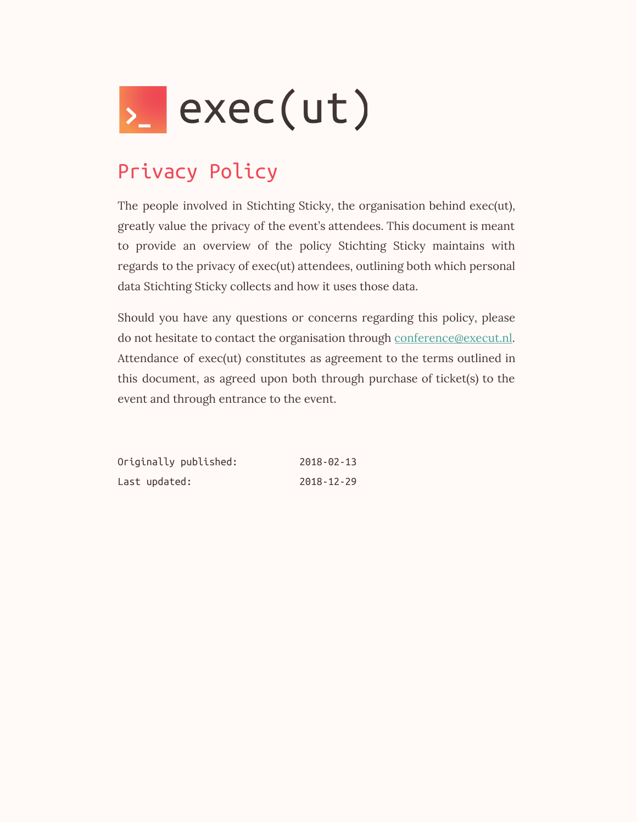

## Privacy Policy

The people involved in Stichting Sticky, the organisation behind exec(ut), greatly value the privacy of the event's attendees. This document is meant to provide an overview of the policy Stichting Sticky maintains with regards to the privacy of exec(ut) attendees, outlining both which personal data Stichting Sticky collects and how it uses those data.

Should you have any questions or concerns regarding this policy, please do not hesitate to contact the organisation through [conference@execut.nl.](mailto:conference@execut.nl) Attendance of exec(ut) constitutes as agreement to the terms outlined in this document, as agreed upon both through purchase of ticket(s) to the event and through entrance to the event.

| Originally published: | $2018 - 02 - 13$ |
|-----------------------|------------------|
| Last updated:         | $2018 - 12 - 29$ |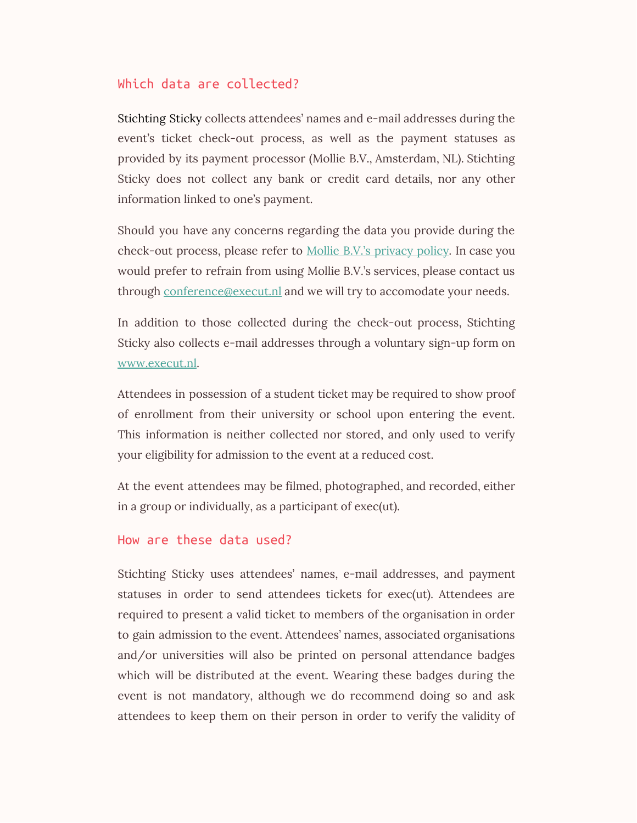## Which data are collected?

Stichting Sticky collects attendees' names and e-mail addresses during the event's ticket check-out process, as well as the payment statuses as provided by its payment processor (Mollie B.V., Amsterdam, NL). Stichting Sticky does not collect any bank or credit card details, nor any other information linked to one's payment.

Should you have any concerns regarding the data you provide during the check-out process, please refer to **Mollie B.V.'s [privacy](https://www.mollie.com/en/privacy) policy**. In case you would prefer to refrain from using Mollie B.V.'s services, please contact us through [conference@execut.nl](mailto:conference@execut.nl) and we will try to accomodate your needs.

In addition to those collected during the check-out process, Stichting Sticky also collects e-mail addresses through a voluntary sign-up form on [www.execut.nl](http://www.execut.nl/).

Attendees in possession of a student ticket may be required to show proof of enrollment from their university or school upon entering the event. This information is neither collected nor stored, and only used to verify your eligibility for admission to the event at a reduced cost.

At the event attendees may be filmed, photographed, and recorded, either in a group or individually, as a participant of exec(ut).

## How are these data used?

Stichting Sticky uses attendees' names, e-mail addresses, and payment statuses in order to send attendees tickets for exec(ut). Attendees are required to present a valid ticket to members of the organisation in order to gain admission to the event. Attendees' names, associated organisations and/or universities will also be printed on personal attendance badges which will be distributed at the event. Wearing these badges during the event is not mandatory, although we do recommend doing so and ask attendees to keep them on their person in order to verify the validity of